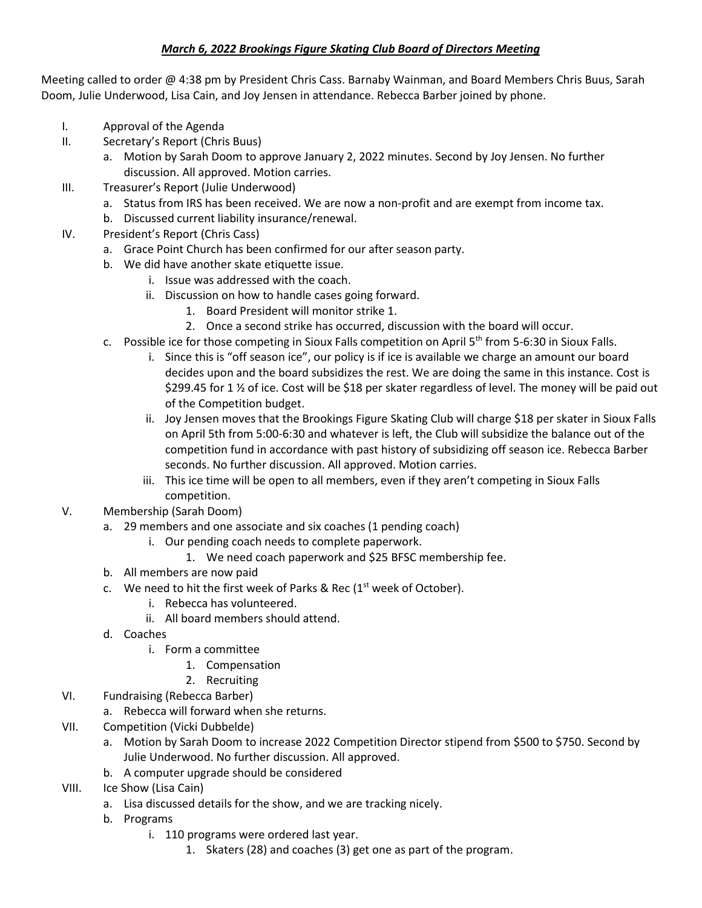## *March 6, 2022 Brookings Figure Skating Club Board of Directors Meeting*

Meeting called to order @ 4:38 pm by President Chris Cass. Barnaby Wainman, and Board Members Chris Buus, Sarah Doom, Julie Underwood, Lisa Cain, and Joy Jensen in attendance. Rebecca Barber joined by phone.

- I. Approval of the Agenda
- II. Secretary's Report (Chris Buus)
	- a. Motion by Sarah Doom to approve January 2, 2022 minutes. Second by Joy Jensen. No further discussion. All approved. Motion carries.
- III. Treasurer's Report (Julie Underwood)
	- a. Status from IRS has been received. We are now a non-profit and are exempt from income tax.
	- b. Discussed current liability insurance/renewal.
- IV. President's Report (Chris Cass)
	- a. Grace Point Church has been confirmed for our after season party.
	- b. We did have another skate etiquette issue.
		- i. Issue was addressed with the coach.
			- ii. Discussion on how to handle cases going forward.
				- 1. Board President will monitor strike 1.
				- 2. Once a second strike has occurred, discussion with the board will occur.
	- c. Possible ice for those competing in Sioux Falls competition on April  $5<sup>th</sup>$  from 5-6:30 in Sioux Falls.
		- i. Since this is "off season ice", our policy is if ice is available we charge an amount our board decides upon and the board subsidizes the rest. We are doing the same in this instance. Cost is \$299.45 for 1 ½ of ice. Cost will be \$18 per skater regardless of level. The money will be paid out of the Competition budget.
		- ii. Joy Jensen moves that the Brookings Figure Skating Club will charge \$18 per skater in Sioux Falls on April 5th from 5:00-6:30 and whatever is left, the Club will subsidize the balance out of the competition fund in accordance with past history of subsidizing off season ice. Rebecca Barber seconds. No further discussion. All approved. Motion carries.
		- iii. This ice time will be open to all members, even if they aren't competing in Sioux Falls competition.
- V. Membership (Sarah Doom)
	- a. 29 members and one associate and six coaches (1 pending coach)
		- i. Our pending coach needs to complete paperwork.
			- 1. We need coach paperwork and \$25 BFSC membership fee.
	- b. All members are now paid
	- c. We need to hit the first week of Parks & Rec  $(1<sup>st</sup>$  week of October).
		- i. Rebecca has volunteered.
		- ii. All board members should attend.
	- d. Coaches
		- i. Form a committee
			- 1. Compensation
			- 2. Recruiting
- VI. Fundraising (Rebecca Barber)
	- a. Rebecca will forward when she returns.
- VII. Competition (Vicki Dubbelde)
	- a. Motion by Sarah Doom to increase 2022 Competition Director stipend from \$500 to \$750. Second by Julie Underwood. No further discussion. All approved.
	- b. A computer upgrade should be considered
- VIII. Ice Show (Lisa Cain)
	- a. Lisa discussed details for the show, and we are tracking nicely.
	- b. Programs
		- i. 110 programs were ordered last year.
			- 1. Skaters (28) and coaches (3) get one as part of the program.